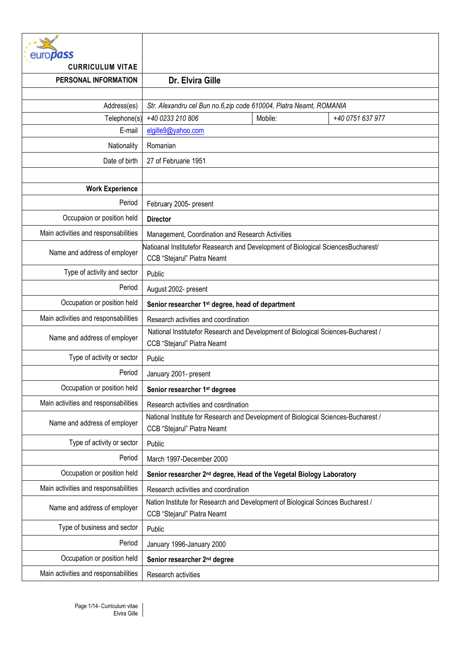| <b>ropass</b>                        |                                                                                                                   |         |                  |  |
|--------------------------------------|-------------------------------------------------------------------------------------------------------------------|---------|------------------|--|
| <b>CURRICULUM VITAE</b>              | Dr. Elvira Gille                                                                                                  |         |                  |  |
| PERSONAL INFORMATION                 |                                                                                                                   |         |                  |  |
| Address(es)                          | Str. Alexandru cel Bun no.6, zip code 610004, Piatra Neamt, ROMANIA                                               |         |                  |  |
| Telephone(s)                         | +40 0233 210 806                                                                                                  | Mobile: | +40 0751 637 977 |  |
| E-mail                               | elgille9@yahoo.com                                                                                                |         |                  |  |
| Nationality                          | Romanian                                                                                                          |         |                  |  |
| Date of birth                        | 27 of Februarie 1951                                                                                              |         |                  |  |
|                                      |                                                                                                                   |         |                  |  |
| <b>Work Experience</b>               |                                                                                                                   |         |                  |  |
| Period                               | February 2005- present                                                                                            |         |                  |  |
| Occupaion or position held           | <b>Director</b>                                                                                                   |         |                  |  |
| Main activities and responsabilities | Management, Coordination and Research Activities                                                                  |         |                  |  |
| Name and address of employer         | Natioanal Institutefor Reasearch and Development of Biological SciencesBucharest/<br>CCB "Stejarul" Piatra Neamt  |         |                  |  |
| Type of activity and sector          | Public                                                                                                            |         |                  |  |
| Period                               | August 2002- present                                                                                              |         |                  |  |
| Occupation or position held          | Senior researcher 1 <sup>st</sup> degree, head of department                                                      |         |                  |  |
| Main activities and responsabilities | Research activities and coordination                                                                              |         |                  |  |
| Name and address of employer         | National Institutefor Research and Development of Biological Sciences-Bucharest /<br>CCB "Stejarul" Piatra Neamt  |         |                  |  |
| Type of activity or sector           | Public                                                                                                            |         |                  |  |
| Period                               | January 2001- present                                                                                             |         |                  |  |
| Occupation or position held          | Senior researcher 1 <sup>st</sup> degreee                                                                         |         |                  |  |
| Main activities and responsabilities | Research activities and cosrdination                                                                              |         |                  |  |
| Name and address of employer         | National Institute for Research and Development of Biological Sciences-Bucharest /<br>CCB "Stejarul" Piatra Neamt |         |                  |  |
| Type of activity or sector           | Public                                                                                                            |         |                  |  |
| Period                               | March 1997-December 2000                                                                                          |         |                  |  |
| Occupation or position held          | Senior researcher 2 <sup>nd</sup> degree, Head of the Vegetal Biology Laboratory                                  |         |                  |  |
| Main activities and responsabilities | Research activities and coordination                                                                              |         |                  |  |
| Name and address of employer         | Nation Institute for Research and Development of Biological Scinces Bucharest /<br>CCB "Stejarul" Piatra Neamt    |         |                  |  |
| Type of business and sector          | Public                                                                                                            |         |                  |  |
| Period                               | January 1996-January 2000                                                                                         |         |                  |  |
| Occupation or position held          | Senior researcher 2 <sup>nd</sup> degree                                                                          |         |                  |  |
| Main activities and responsabilities | Research activities                                                                                               |         |                  |  |
|                                      |                                                                                                                   |         |                  |  |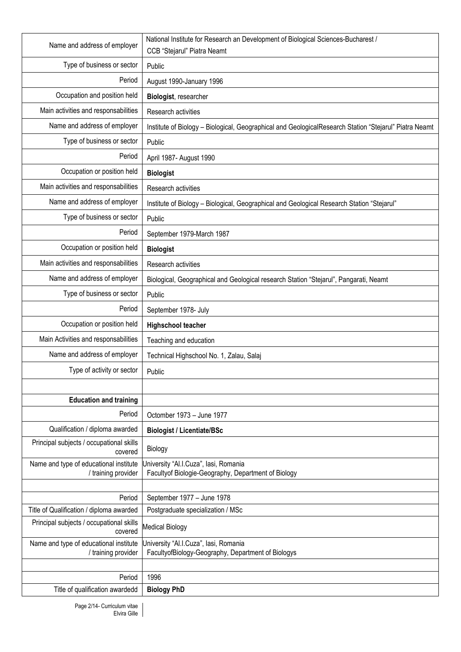| Name and address of employer                                  | National Institute for Research an Development of Biological Sciences-Bucharest /<br>CCB "Stejarul" Piatra Neamt |  |  |
|---------------------------------------------------------------|------------------------------------------------------------------------------------------------------------------|--|--|
| Type of business or sector                                    | Public                                                                                                           |  |  |
| Period                                                        | August 1990-January 1996                                                                                         |  |  |
| Occupation and position held                                  | Biologist, researcher                                                                                            |  |  |
| Main activities and responsabilities                          | Research activities                                                                                              |  |  |
| Name and address of employer                                  | Institute of Biology - Biological, Geographical and GeologicalResearch Station "Stejarul" Piatra Neamt           |  |  |
| Type of business or sector                                    | Public                                                                                                           |  |  |
| Period                                                        | April 1987- August 1990                                                                                          |  |  |
| Occupation or position held                                   | <b>Biologist</b>                                                                                                 |  |  |
| Main activities and responsabilities                          | Research activities                                                                                              |  |  |
| Name and address of employer                                  | Institute of Biology - Biological, Geographical and Geological Research Station "Stejarul"                       |  |  |
| Type of business or sector                                    | Public                                                                                                           |  |  |
| Period                                                        | September 1979-March 1987                                                                                        |  |  |
| Occupation or position held                                   | <b>Biologist</b>                                                                                                 |  |  |
| Main activities and responsabilities                          | Research activities                                                                                              |  |  |
| Name and address of employer                                  | Biological, Geographical and Geological research Station "Stejarul", Pangarati, Neamt                            |  |  |
| Type of business or sector                                    | Public                                                                                                           |  |  |
| Period                                                        | September 1978- July                                                                                             |  |  |
| Occupation or position held                                   | <b>Highschool teacher</b>                                                                                        |  |  |
| Main Activities and responsabilities                          | Teaching and education                                                                                           |  |  |
| Name and address of employer                                  | Technical Highschool No. 1, Zalau, Salaj                                                                         |  |  |
| Type of activity or sector                                    | Public                                                                                                           |  |  |
|                                                               |                                                                                                                  |  |  |
| <b>Education and training</b>                                 |                                                                                                                  |  |  |
| Period                                                        | Octomber 1973 - June 1977                                                                                        |  |  |
| Qualification / diploma awarded                               | <b>Biologist / Licentiate/BSc</b>                                                                                |  |  |
| Principal subjects / occupational skills<br>covered           | Biology                                                                                                          |  |  |
| Name and type of educational institute<br>/ training provider | Jniversity "Al.I.Cuza", lasi, Romania<br>Facultyof Biologie-Geography, Department of Biology                     |  |  |
|                                                               |                                                                                                                  |  |  |
| Period                                                        | September 1977 - June 1978                                                                                       |  |  |
| Title of Qualification / diploma awarded                      | Postgraduate specialization / MSc                                                                                |  |  |
| Principal subjects / occupational skills<br>covered           | <b>Medical Biology</b>                                                                                           |  |  |
| Name and type of educational institute<br>/ training provider | University "Al.I.Cuza", lasi, Romania<br>FacultyofBiology-Geography, Department of Biologys                      |  |  |
|                                                               |                                                                                                                  |  |  |
| Period                                                        | 1996                                                                                                             |  |  |
| Title of qualification awardedd                               | <b>Biology PhD</b>                                                                                               |  |  |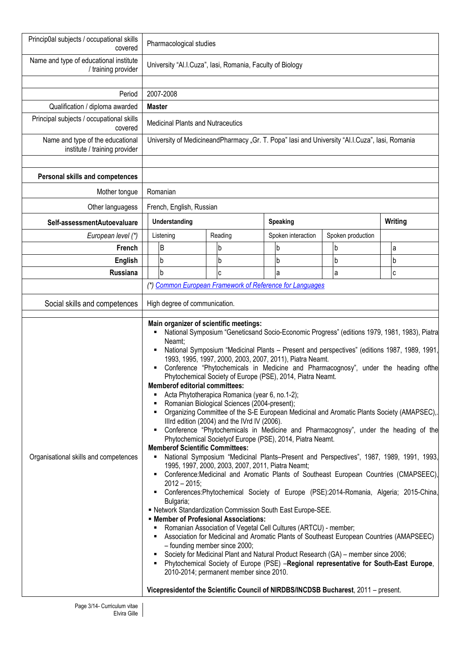| Princip0al subjects / occupational skills<br>covered                   | Pharmacological studies                                                                                                                                                                                                                                                                                                                                                                                                                                                                                                                                                                                                                                                                                                                                                                                                                                                                                                                                                                                                                                                                                                                                                                                                                                                                                                                                                                                                                                                                                                                                                                                                                                                                                                                                                                                                                                                                                                          |                          |          |         |  |                    |  |                   |  |              |
|------------------------------------------------------------------------|----------------------------------------------------------------------------------------------------------------------------------------------------------------------------------------------------------------------------------------------------------------------------------------------------------------------------------------------------------------------------------------------------------------------------------------------------------------------------------------------------------------------------------------------------------------------------------------------------------------------------------------------------------------------------------------------------------------------------------------------------------------------------------------------------------------------------------------------------------------------------------------------------------------------------------------------------------------------------------------------------------------------------------------------------------------------------------------------------------------------------------------------------------------------------------------------------------------------------------------------------------------------------------------------------------------------------------------------------------------------------------------------------------------------------------------------------------------------------------------------------------------------------------------------------------------------------------------------------------------------------------------------------------------------------------------------------------------------------------------------------------------------------------------------------------------------------------------------------------------------------------------------------------------------------------|--------------------------|----------|---------|--|--------------------|--|-------------------|--|--------------|
| Name and type of educational institute<br>/ training provider          | University "Al.I.Cuza", lasi, Romania, Faculty of Biology                                                                                                                                                                                                                                                                                                                                                                                                                                                                                                                                                                                                                                                                                                                                                                                                                                                                                                                                                                                                                                                                                                                                                                                                                                                                                                                                                                                                                                                                                                                                                                                                                                                                                                                                                                                                                                                                        |                          |          |         |  |                    |  |                   |  |              |
| Period<br>Qualification / diploma awarded                              | 2007-2008<br><b>Master</b>                                                                                                                                                                                                                                                                                                                                                                                                                                                                                                                                                                                                                                                                                                                                                                                                                                                                                                                                                                                                                                                                                                                                                                                                                                                                                                                                                                                                                                                                                                                                                                                                                                                                                                                                                                                                                                                                                                       |                          |          |         |  |                    |  |                   |  |              |
| Principal subjects / occupational skills<br>covered                    | <b>Medicinal Plants and Nutraceutics</b>                                                                                                                                                                                                                                                                                                                                                                                                                                                                                                                                                                                                                                                                                                                                                                                                                                                                                                                                                                                                                                                                                                                                                                                                                                                                                                                                                                                                                                                                                                                                                                                                                                                                                                                                                                                                                                                                                         |                          |          |         |  |                    |  |                   |  |              |
| Name and type of the educational<br>institute / training provider      | University of MedicineandPharmacy "Gr. T. Popa" lasi and University "Al.I.Cuza", lasi, Romania                                                                                                                                                                                                                                                                                                                                                                                                                                                                                                                                                                                                                                                                                                                                                                                                                                                                                                                                                                                                                                                                                                                                                                                                                                                                                                                                                                                                                                                                                                                                                                                                                                                                                                                                                                                                                                   |                          |          |         |  |                    |  |                   |  |              |
| Personal skills and competences                                        |                                                                                                                                                                                                                                                                                                                                                                                                                                                                                                                                                                                                                                                                                                                                                                                                                                                                                                                                                                                                                                                                                                                                                                                                                                                                                                                                                                                                                                                                                                                                                                                                                                                                                                                                                                                                                                                                                                                                  |                          |          |         |  |                    |  |                   |  |              |
| Mother tongue                                                          | Romanian                                                                                                                                                                                                                                                                                                                                                                                                                                                                                                                                                                                                                                                                                                                                                                                                                                                                                                                                                                                                                                                                                                                                                                                                                                                                                                                                                                                                                                                                                                                                                                                                                                                                                                                                                                                                                                                                                                                         |                          |          |         |  |                    |  |                   |  |              |
| Other languagess                                                       |                                                                                                                                                                                                                                                                                                                                                                                                                                                                                                                                                                                                                                                                                                                                                                                                                                                                                                                                                                                                                                                                                                                                                                                                                                                                                                                                                                                                                                                                                                                                                                                                                                                                                                                                                                                                                                                                                                                                  | French, English, Russian |          |         |  |                    |  |                   |  |              |
| Self-assessmentAutoevaluare                                            | <b>Understanding</b>                                                                                                                                                                                                                                                                                                                                                                                                                                                                                                                                                                                                                                                                                                                                                                                                                                                                                                                                                                                                                                                                                                                                                                                                                                                                                                                                                                                                                                                                                                                                                                                                                                                                                                                                                                                                                                                                                                             |                          | Speaking |         |  | Writing            |  |                   |  |              |
| European level (*)                                                     | Listening                                                                                                                                                                                                                                                                                                                                                                                                                                                                                                                                                                                                                                                                                                                                                                                                                                                                                                                                                                                                                                                                                                                                                                                                                                                                                                                                                                                                                                                                                                                                                                                                                                                                                                                                                                                                                                                                                                                        |                          |          | Reading |  | Spoken interaction |  | Spoken production |  |              |
| French                                                                 | B                                                                                                                                                                                                                                                                                                                                                                                                                                                                                                                                                                                                                                                                                                                                                                                                                                                                                                                                                                                                                                                                                                                                                                                                                                                                                                                                                                                                                                                                                                                                                                                                                                                                                                                                                                                                                                                                                                                                |                          |          | b       |  | b                  |  | b                 |  | a            |
| <b>English</b>                                                         | b                                                                                                                                                                                                                                                                                                                                                                                                                                                                                                                                                                                                                                                                                                                                                                                                                                                                                                                                                                                                                                                                                                                                                                                                                                                                                                                                                                                                                                                                                                                                                                                                                                                                                                                                                                                                                                                                                                                                |                          |          | b       |  | b                  |  | b                 |  | b            |
| <b>Russiana</b>                                                        |                                                                                                                                                                                                                                                                                                                                                                                                                                                                                                                                                                                                                                                                                                                                                                                                                                                                                                                                                                                                                                                                                                                                                                                                                                                                                                                                                                                                                                                                                                                                                                                                                                                                                                                                                                                                                                                                                                                                  |                          |          | C       |  | a                  |  | a                 |  | $\mathbf{C}$ |
| Social skills and competences<br>Organisational skills and competences | b<br>(*) Common European Framework of Reference for Languages<br>High degree of communication.<br>Main organizer of scientific meetings:<br>National Symposium "Geneticsand Socio-Economic Progress" (editions 1979, 1981, 1983), Piatra<br>Neamt;<br>National Symposium "Medicinal Plants - Present and perspectives" (editions 1987, 1989, 1991,<br>1993, 1995, 1997, 2000, 2003, 2007, 2011), Piatra Neamt.<br>Conference "Phytochemicals in Medicine and Pharmacognosy", under the heading ofthe<br>Phytochemical Society of Europe (PSE), 2014, Piatra Neamt.<br><b>Memberof editorial committees:</b><br>Acta Phytotherapica Romanica (year 6, no.1-2);<br>Romanian Biological Sciences (2004-present);<br>Organizing Committee of the S-E European Medicinal and Aromatic Plants Society (AMAPSEC),.<br>Illrd edition (2004) and the IVrd IV (2006).<br>Conference "Phytochemicals in Medicine and Pharmacognosy", under the heading of the<br>Phytochemical Society of Europe (PSE), 2014, Piatra Neamt.<br><b>Memberof Scientific Committees:</b><br>National Symposium "Medicinal Plants-Present and Perspectives", 1987, 1989, 1991, 1993,<br>٠<br>1995, 1997, 2000, 2003, 2007, 2011, Piatra Neamt;<br>Conference: Medicinal and Aromatic Plants of Southeast European Countries (CMAPSEEC),<br>$2012 - 2015$ ;<br>Conferences: Phytochemical Society of Europe (PSE): 2014-Romania, Algeria; 2015-China,<br>Bulgaria;<br>- Network Standardization Commission South East Europe-SEE.<br><b>■ Member of Profesional Associations:</b><br>Romanian Association of Vegetal Cell Cultures (ARTCU) - member;<br>Association for Medicinal and Aromatic Plants of Southeast European Countries (AMAPSEEC)<br>- founding member since 2000;<br>Society for Medicinal Plant and Natural Product Research (GA) - member since 2006;<br>Phytochemical Society of Europe (PSE) -Regional representative for South-East Europe, |                          |          |         |  |                    |  |                   |  |              |
|                                                                        | Vicepresidentof the Scientific Council of NIRDBS/INCDSB Bucharest, 2011 – present.                                                                                                                                                                                                                                                                                                                                                                                                                                                                                                                                                                                                                                                                                                                                                                                                                                                                                                                                                                                                                                                                                                                                                                                                                                                                                                                                                                                                                                                                                                                                                                                                                                                                                                                                                                                                                                               |                          |          |         |  |                    |  |                   |  |              |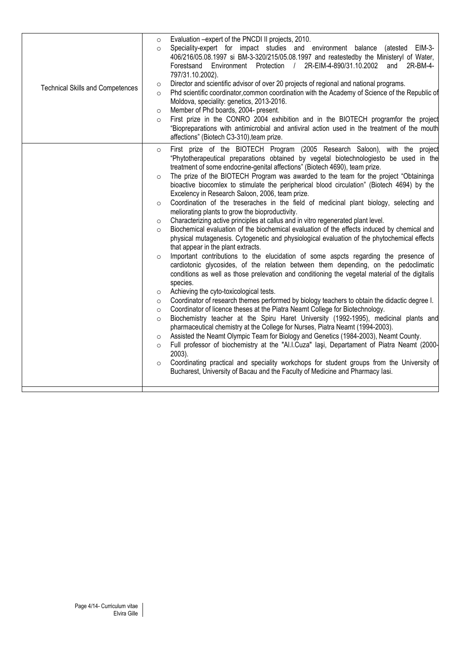| <b>Technical Skills and Competences</b> | Evaluation -expert of the PNCDI II projects, 2010.<br>$\circ$<br>Speciality-expert for impact studies and environment balance<br>(atested EIM-3-<br>$\circ$<br>406/216/05.08.1997 si BM-3-320/215/05.08.1997 and reatestedby the Ministeryl of Water,<br>2R-EIM-4-890/31.10.2002 and<br>Forestsand Environment Protection<br>$\frac{1}{2}$<br>2R-BM-4-<br>797/31.10.2002).<br>Director and scientific advisor of over 20 projects of regional and national programs.<br>$\circ$<br>Phd scientific coordinator, common coordination with the Academy of Science of the Republic of<br>$\circ$<br>Moldova, speciality: genetics, 2013-2016.<br>Member of Phd boards, 2004- present.<br>$\circ$<br>First prize in the CONRO 2004 exhibition and in the BIOTECH programfor the project<br>$\Omega$<br>"Biopreparations with antimicrobial and antiviral action used in the treatment of the mouth<br>affections" (Biotech C3-310), team prize.                                                                                                                                                                                                                                                                                                                                                                                                                                                                                                                                                                                                                                                                                                                                                                                                                                                                                                                                                                                                                                                                                                                                                                                                                                                     |
|-----------------------------------------|------------------------------------------------------------------------------------------------------------------------------------------------------------------------------------------------------------------------------------------------------------------------------------------------------------------------------------------------------------------------------------------------------------------------------------------------------------------------------------------------------------------------------------------------------------------------------------------------------------------------------------------------------------------------------------------------------------------------------------------------------------------------------------------------------------------------------------------------------------------------------------------------------------------------------------------------------------------------------------------------------------------------------------------------------------------------------------------------------------------------------------------------------------------------------------------------------------------------------------------------------------------------------------------------------------------------------------------------------------------------------------------------------------------------------------------------------------------------------------------------------------------------------------------------------------------------------------------------------------------------------------------------------------------------------------------------------------------------------------------------------------------------------------------------------------------------------------------------------------------------------------------------------------------------------------------------------------------------------------------------------------------------------------------------------------------------------------------------------------------------------------------------------------------------------------------------|
|                                         | First prize of the BIOTECH Program (2005 Research Saloon), with the project<br>$\circ$<br>"Phytotherapeutical preparations obtained by vegetal biotechnologiesto be used in the<br>treatment of some endocrine-genital affections" (Biotech 4690), team prize.<br>The prize of the BIOTECH Program was awarded to the team for the project "Obtaininga<br>$\circ$<br>bioactive biocomlex to stimulate the peripherical blood circulation" (Biotech 4694) by the<br>Excelency in Research Saloon, 2006, team prize.<br>Coordination of the treseraches in the field of medicinal plant biology, selecting and<br>$\circ$<br>meliorating plants to grow the bioproductivity.<br>Characterizing active principles at callus and in vitro regenerated plant level.<br>$\circ$<br>Biochemical evaluation of the biochemical evaluation of the effects induced by chemical and<br>$\circ$<br>physical mutagenesis. Cytogenetic and physiological evaluation of the phytochemical effects<br>that appear in the plant extracts.<br>Important contributions to the elucidation of some aspcts regarding the presence of<br>$\circ$<br>cardiotonic glycosides, of the relation between them depending, on the pedoclimatic<br>conditions as well as those prelevation and conditioning the vegetal material of the digitalis<br>species.<br>Achieving the cyto-toxicological tests.<br>$\circ$<br>Coordinator of research themes performed by biology teachers to obtain the didactic degree I.<br>$\circ$<br>Coordinator of licence theses at the Piatra Neamt College for Biotechnology.<br>$\circ$<br>Biochemistry teacher at the Spiru Haret University (1992-1995), medicinal plants and<br>$\circ$<br>pharmaceutical chemistry at the College for Nurses, Piatra Neamt (1994-2003).<br>Assisted the Neamt Olympic Team for Biology and Genetics (1984-2003), Neamt County.<br>$\circ$<br>Full professor of biochemistry at the "Al.I.Cuza" laşi, Departament of Piatra Neamt (2000-<br>$\circ$<br>2003).<br>Coordinating practical and speciality workchops for student groups from the University of<br>$\circ$<br>Bucharest, University of Bacau and the Faculty of Medicine and Pharmacy Iasi. |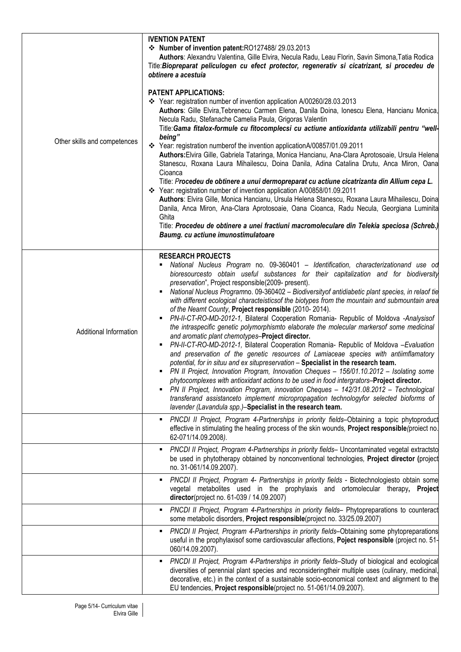| Other skills and competences | <b>IVENTION PATENT</b><br>❖ Number of invention patent:RO127488/29.03.2013<br>Authors: Alexandru Valentina, Gille Elvira, Necula Radu, Leau Florin, Savin Simona, Tatia Rodica<br>Title: Biopreparat peliculogen cu efect protector, regenerativ si cicatrizant, si procedeu de<br>obtinere a acestuia<br><b>PATENT APPLICATIONS:</b><br>❖ Year: registration number of invention application A/00260/28.03.2013<br>Authors: Gille Elvira, Tebrenecu Carmen Elena, Danila Doina, Ionescu Elena, Hancianu Monica,<br>Necula Radu, Stefanache Camelia Paula, Grigoras Valentin<br>Title: Gama fitalox-formule cu fitocomplecsi cu actiune antioxidanta utilizabili pentru "well-<br>being"<br>* Year: registration numberof the invention applicationA/00857/01.09.2011<br>Authors: Elvira Gille, Gabriela Tataringa, Monica Hancianu, Ana-Clara Aprotosoaie, Ursula Helena<br>Stanescu, Roxana Laura Mihailescu, Doina Danila, Adina Catalina Drutu, Anca Miron, Oana<br>Cioanca<br>Title: Procedeu de obtinere a unui dermopreparat cu actiune cicatrizanta din Allium cepa L.<br>❖ Year: registration number of invention application A/00858/01.09.2011<br>Authors: Elvira Gille, Monica Hancianu, Ursula Helena Stanescu, Roxana Laura Mihailescu, Doina<br>Danila, Anca Miron, Ana-Clara Aprotosoaie, Oana Cioanca, Radu Necula, Georgiana Luminita<br>Ghita<br>Title: Procedeu de obtinere a unei fractiuni macromoleculare din Telekia speciosa (Schreb.)<br>Baumg. cu actiune imunostimulatoare                                                                                     |
|------------------------------|--------------------------------------------------------------------------------------------------------------------------------------------------------------------------------------------------------------------------------------------------------------------------------------------------------------------------------------------------------------------------------------------------------------------------------------------------------------------------------------------------------------------------------------------------------------------------------------------------------------------------------------------------------------------------------------------------------------------------------------------------------------------------------------------------------------------------------------------------------------------------------------------------------------------------------------------------------------------------------------------------------------------------------------------------------------------------------------------------------------------------------------------------------------------------------------------------------------------------------------------------------------------------------------------------------------------------------------------------------------------------------------------------------------------------------------------------------------------------------------------------------------------------------------------------------------------------------------------|
| Additional Information       | <b>RESEARCH PROJECTS</b><br>National Nucleus Program no. 09-360401 - Identification, characterizationand use od<br>bioresourcesto obtain useful substances for their capitalization and for biodiversity<br>preservation", Project responsible(2009- present).<br>National Nucleus Programno. 09-360402 - Biodiversity of antidiabetic plant species, in relaof tie<br>with different ecological characteisticsof the biotypes from the mountain and submountain area<br>of the Neamt County, Project responsible (2010-2014).<br>PN-II-CT-RO-MD-2012-1, Bilateral Cooperation Romania- Republic of Moldova -Analysisof<br>the intraspecific genetic polymorphismto elaborate the molecular markersof some medicinal<br>and aromatic plant chemotypes-Project director.<br>PN-II-CT-RO-MD-2012-1, Bilateral Cooperation Romania- Republic of Moldova -Evaluation<br>and preservation of the genetic resources of Lamiaceae species with antiimflamatory<br>potential, for in situu and ex situpreservation - Specialist in the research team.<br>PN II Project, Innovation Program, Innovation Cheques - 156/01.10.2012 - Isolating some<br>phytocomplexes with antioxidant actions to be used in food intergrators-Project director.<br>PN II Project, Innovation Program, innovation Cheques - 142/31.08.2012 - Technological<br>transferand assistanceto implement micropropagation technologyfor selected bioforms of<br>lavender (Lavandula spp.)-Specialist in the research team.<br>PNCDI II Project, Program 4-Partnerships in priority fields-Obtaining a topic phytoproduct<br>٠ |
|                              | effective in stimulating the healing process of the skin wounds, Project responsible (proiect no.<br>62-071/14.09.2008).<br>PNCDI II Project, Program 4-Partnerships in priority fields- Uncontaminated vegetal extractsto<br>٠<br>be used in phytotherapy obtained by nonconventional technologies, Project director (project                                                                                                                                                                                                                                                                                                                                                                                                                                                                                                                                                                                                                                                                                                                                                                                                                                                                                                                                                                                                                                                                                                                                                                                                                                                             |
|                              | no. 31-061/14.09.2007).<br>PNCDI II Project, Program 4- Partnerships in priority fields - Biotechnologiesto obtain some<br>٠<br>vegetal metabolites used in the prophylaxis and ortomolecular therapy, Project<br>director(project no. 61-039 / 14.09.2007)                                                                                                                                                                                                                                                                                                                                                                                                                                                                                                                                                                                                                                                                                                                                                                                                                                                                                                                                                                                                                                                                                                                                                                                                                                                                                                                                |
|                              | PNCDI II Project, Program 4-Partnerships in priority fields- Phytopreparations to counteract<br>٠<br>some metabolic disorders, Project responsible(project no. 33/25.09.2007)                                                                                                                                                                                                                                                                                                                                                                                                                                                                                                                                                                                                                                                                                                                                                                                                                                                                                                                                                                                                                                                                                                                                                                                                                                                                                                                                                                                                              |
|                              | PNCDI II Project, Program 4-Partnerships in priority fields-Obtaining some phytopreparations<br>٠<br>useful in the prophylaxisof some cardiovascular affections, Poject responsible (project no. 51-<br>060/14.09.2007).                                                                                                                                                                                                                                                                                                                                                                                                                                                                                                                                                                                                                                                                                                                                                                                                                                                                                                                                                                                                                                                                                                                                                                                                                                                                                                                                                                   |
|                              | PNCDI II Project, Program 4-Partnerships in priority fields-Study of biological and ecological<br>٠<br>diversities of perennial plant species and reconsideringtheir multiple uses (culinary, medicinal,<br>decorative, etc.) in the context of a sustainable socio-economical context and alignment to the<br>EU tendencies, Project responsible(project no. 51-061/14.09.2007).                                                                                                                                                                                                                                                                                                                                                                                                                                                                                                                                                                                                                                                                                                                                                                                                                                                                                                                                                                                                                                                                                                                                                                                                          |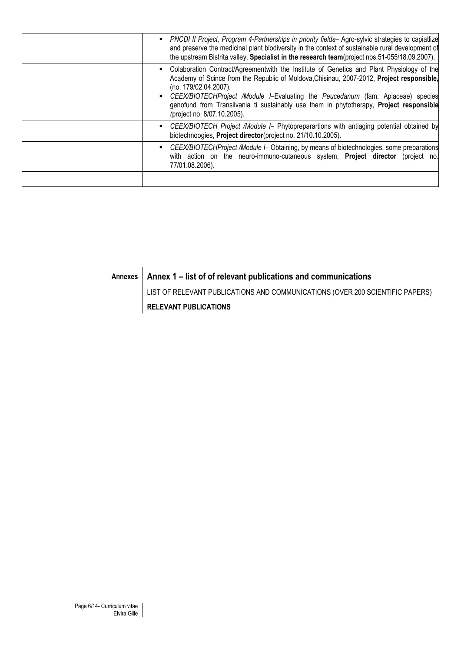| PNCDI II Project, Program 4-Partnerships in priority fields- Agro-sylvic strategies to capiatlize<br>and preserve the medicinal plant biodiversity in the context of sustainable rural development of<br>the upstream Bistrita valley, Specialist in the research team(project nos.51-055/18.09.2007).                                                                                                                       |
|------------------------------------------------------------------------------------------------------------------------------------------------------------------------------------------------------------------------------------------------------------------------------------------------------------------------------------------------------------------------------------------------------------------------------|
| Colaboration Contract/Agreementwith the Institute of Genetics and Plant Physiology of the<br>Academy of Scince from the Republic of Moldova, Chisinau, 2007-2012, Project responsible,<br>(no. 179/02.04.2007).<br>CEEX/BIOTECHProject /Module I-Evaluating the Peucedanum (fam. Apiaceae) species<br>genofund from Transilvania ti sustainably use them in phytotherapy, Project responsible<br>(project no. 8/07.10.2005). |
| CEEX/BIOTECH Project /Module I - Phytopreparartions with antiaging potential obtained by<br>biotechnoogies, Project director(project no. 21/10.10.2005).                                                                                                                                                                                                                                                                     |
| CEEX/BIOTECHProject /Module I- Obtaining, by means of biotechnologies, some preparations<br>with action on the neuro-immuno-cutaneous system, <b>Project director</b> (project no.<br>77/01.08.2006).                                                                                                                                                                                                                        |
|                                                                                                                                                                                                                                                                                                                                                                                                                              |

# **Annexes Annex 1 – list of of relevant publications and communications**

LIST OF RELEVANT PUBLICATIONS AND COMMUNICATIONS (OVER 200 SCIENTIFIC PAPERS) **RELEVANT PUBLICATIONS**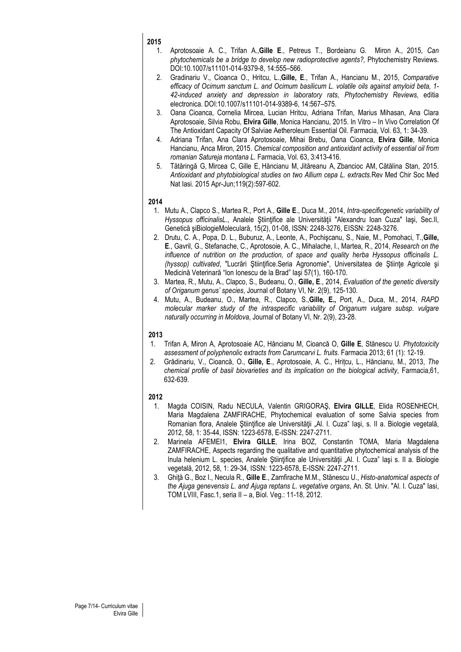- 1. Aprotosoaie A. C., Trifan A.,**Gille E**., Petreus T., Bordeianu G. Miron A., 2015, *Can phytochemicals be a bridge to develop new radioprotective agents?,* Phytochemistry Reviews. DOI:10.1007/s11101-014-9379-8, 14:555–566.
- 2. Gradinariu V., Cioanca O., Hritcu, L.,**Gille, E**., Trifan A., Hancianu M., 2015, *Comparative efficacy of Ocimum sanctum L. and Ocimum basilicum L. volatile oils against amyloid beta, 1- 42-induced anxiety and depression in laboratory rats*, *Phytochemistry Reviews*, editia electronica. DOI:10.1007/s11101-014-9389-6, 14:567–575.
- 3. Oana Cioanca, Cornelia Mircea, Lucian Hritcu, Adriana Trifan, Marius Mihasan, Ana Clara Aprotosoaie, Silvia Robu, **Elvira Gille**, Monica Hancianu, 2015. In Vitro – In Vivo Correlation Of The Antioxidant Capacity Of Salviae Aetheroleum Essential Oil. Farmacia, Vol. 63, 1: 34-39.
- 4. Adriana Trifan, Ana Clara Aprotosoaie, Mihai Brebu, Oana Cioanca, **Elvira Gille**, Monica Hancianu, Anca Miron, 2015. *Chemical composition and antioxidant activity of essential oil from romanian Satureja montana L.* Farmacia, Vol. 63, 3:413-416.
- 5. Tătăringă G, Mircea C, Gille E, Hăncianu M, Jităreanu A, Zbancioc AM, Cătălina Stan, 2015. *Antioxidant and phytobiological studies on two Allium cepa L. extracts.*Rev Med Chir Soc Med Nat Iasi. 2015 Apr-Jun;119(2):597-602.

### **2014**

- 1. Mutu A., Clapco S., Martea R., Port A., **Gille E**., Duca M., 2014, *Intra-specificgenetic variability of Hyssopus officinalisL.*, Analele Stiintifice ale Universității "Alexandru Ioan Cuza" Iași, Sec.II, Genetică şiBiologieMoleculară, 15(2), 01-08, ISSN: 2248-3276, EISSN: 2248-3276.
- 2. Drutu, C. A., Popa, D. L., Buburuz, A., Leonte, A., Pochişcanu, S., Naie, M., Pomohaci, T.,**Gille, E**., Gavril, G., Stefanache, C., Aprotosoie, A. C., Mihalache, I., Martea, R., 2014, *Research on the influence of nutrition on the production, of space and quality herba Hyssopus officinalis L. (hyssop) cultivated*, "Lucrări Ştiinţifice.Seria Agronomie", Universitatea de Ştiinţe Agricole şi Medicină Veterinară "Ion Ionescu de la Brad" Iaşi 57(1), 160-170.
- 3. Martea, R., Mutu, A., Clapco, S., Budeanu, O., **Gille, E**., 2014, *Evaluation of the genetic diversity of Origanum genus' species*, Journal of Botany VI, Nr. 2(9), 125-130.
- 4. Mutu, A., Budeanu, O., Martea, R., Clapco, S.,**Gille, E.,** Port, A., Duca, M., 2014, *RAPD molecular marker study of the intraspecific variability of Origanum vulgare subsp. vulgare naturally occurring in Moldova*, Journal of Botany VI, Nr. 2(9), 23-28.

### **2013**

- 1. Trifan A, Miron A, Aprotosoaie AC, Hăncianu M, Cioancă O, **Gille E**, Stănescu U*. Phytotoxicity assessment of polyphenolic extracts from Carumcarvi L. fruits.* Farmacia 2013; 61 (1): 12-19.
- 2. Grădinariu, V., Cioancă, O., **Gille, E**., Aprotosoaie, A. C., Hrițcu, L., Hăncianu, M., 2013, *The chemical profile of basil biovarieties and its implication on the biological activity*, Farmacia,61, 632-639.

- 1. Magda COISIN, Radu NECULA, Valentin GRIGORAŞ, **Elvira GILLE**, Elida ROSENHECH, Maria Magdalena ZAMFIRACHE, Phytochemical evaluation of some Salvia species from Romanian flora, Analele Științifice ale Universității "Al. I. Cuza" Iași, s. II a. Biologie vegetală, 2012, 58, 1: 35-44, ISSN: 1223-6578, E-ISSN: 2247-2711.
- 2. Marinela AFEMEI1, **Elvira GILLE**, Irina BOZ, Constantin TOMA, Maria Magdalena ZAMFIRACHE, Aspects regarding the qualitative and quantitative phytochemical analysis of the Inula helenium L. species, Analele Științifice ale Universității "Al. I. Cuza" Iași s. II a. Biologie vegetală, 2012, 58, 1: 29-34, ISSN: 1223-6578, E-ISSN: 2247-2711.
- 3. Ghiţă G., Boz I., Necula R., **Gille E**., Zamfirache M.M., Stănescu U., *Histo-anatomical aspects of the Ajuga genevensis L. and Ajuga reptans L. vegetative organs*, An. St. Univ. "Al. I. Cuza" Iasi, TOM LVIII, Fasc.1, seria II – a, Biol. Veg.: 11-18, 2012.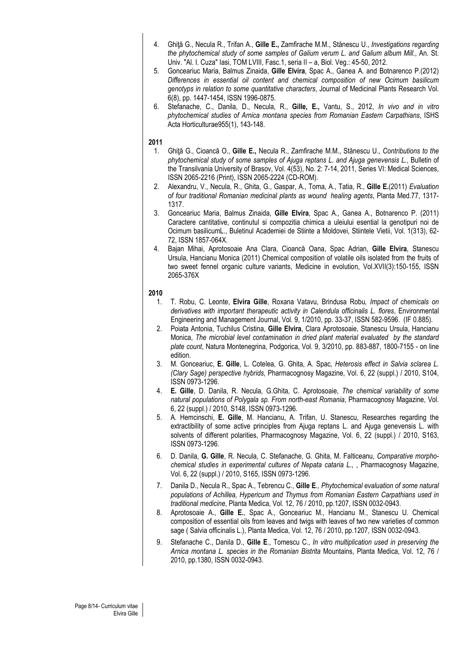- 4. Ghiţă G., Necula R., Trifan A., **Gille E.,** Zamfirache M.M., Stănescu U., *Investigations regarding the phytochemical study of some samples of Galium verum L. and Galium album Mill.*, An. St. Univ. "Al. I. Cuza" Iasi, TOM LVIII, Fasc.1, seria II – a, Biol. Veg.: 45-50, 2012.
- 5. Gonceariuc Maria, Balmus Zinaida, **Gille Elvira**, Spac A., Ganea A. and Botnarenco P.(2012) *Differences in essential oil content and chemical composition of new Ocimum basilicum genotyps in relation to some quantitative characters*, Journal of Medicinal Plants Research Vol. 6(8), pp. 1447-1454, ISSN 1996-0875.
- 6. Stefanache, C., Danila, D., Necula, R., **Gille, E.,** Vantu, S., 2012, *In vivo and in vitro phytochemical studies of Arnica montana species from Romanian Eastern Carpathians*, ISHS Acta Horticulturae955(1), 143-148.

- 1. Ghiţă G., Cioancă O., **Gille E.,** Necula R., Zamfirache M.M., Stănescu U., *Contributions to the phytochemical study of some samples of Ajuga reptans L. and Ajuga genevensis L.*, Bulletin of the Transilvania University of Brasov, Vol. 4(53), No. 2: 7-14, 2011, Series VI: Medical Sciences, ISSN 2065-2216 (Print), ISSN 2065-2224 (CD-ROM).
- 2. Alexandru, V., Necula, R., Ghita, G., Gaspar, A., Toma, A., Tatia, R., **Gille E.**(2011) *Evaluation of four traditional Romanian medicinal plants as wound healing agents*, Planta Med.77, 1317- 1317.
- 3. Gonceariuc Maria, Balmus Zinaida, **Gille Elvira**, Spac A., Ganea A., Botnarenco P. (2011) Caractere cantitative, continutul si compozitia chimica a uleiului esential la genotipuri noi de Ocimum basilicumL., Buletinul Academiei de Stiinte a Moldovei, Stiintele Vietii, Vol. 1(313), 62- 72, ISSN 1857-064X.
- 4. Bajan Mihai, Aprotosoaie Ana Clara, Cioancă Oana, Spac Adrian, **Gille Elvira**, Stanescu Ursula, Hancianu Monica (2011) Chemical composition of volatile oils isolated from the fruits of two sweet fennel organic culture variants, Medicine in evolution, Vol.XVII(3):150-155, ISSN 2065-376X

- 1. T. Robu, C. Leonte, **Elvira Gille**, Roxana Vatavu, Brindusa Robu*, Impact of chemicals on derivatives with important therapeutic activity in Calendula officinalis L. flores*, Environmental Engineering and Management Journal, Vol. 9, 1/2010, pp. 33-37, ISSN 582-9596. (IF 0.885).
- 2. Poiata Antonia, Tuchilus Cristina, **Gille Elvira**, Clara Aprotosoaie, Stanescu Ursula, Hancianu Monica, *The microbial level contamination in dried plant material evaluated by the standard plate count*, Natura Montenegrina, Podgorica, Vol. 9, 3/2010, pp. 883-887, 1800-7155 - on line edition.
- 3. M. Gonceariuc, **E. Gille**, L. Cotelea, G. Ghita, A. Spac*, Heterosis effect in Salvia sclarea L. (Clary Sage) perspective hybrids*, Pharmacognosy Magazine, Vol. 6, 22 (suppl.) / 2010, S104, ISSN 0973-1296.
- 4. **E. Gille**, D. Danila, R. Necula, G.Ghita, C. Aprotosoaie, *The chemical variability of some natural populations of Polygala sp. From north-east Romania*, Pharmacognosy Magazine, Vol. 6, 22 (suppl.) / 2010, S148, ISSN 0973-1296.
- 5. A. Hemcinschi, **E. Gille**, M. Hancianu, A. Trifan, U. Stanescu, Researches regarding the extractibility of some active principles from Ajuga reptans L. and Ajuga genevensis L. with solvents of different polarities, Pharmacognosy Magazine, Vol. 6, 22 (suppl.) / 2010, S163, ISSN 0973-1296.
- 6. D. Danila, **G. Gille**, R. Necula, C. Stefanache, G. Ghita, M. Falticeanu*, Comparative morphochemical studies in experimental cultures of Nepata cataria L*., , Pharmacognosy Magazine, Vol. 6, 22 (suppl.) / 2010, S165, ISSN 0973-1296.
- 7. Danila D., Necula R., Spac A., Tebrencu C., **Gille E***., Phytochemical evaluation of some natural populations of Achillea, Hypericum and Thymus from Romanian Eastern Carpathians used in traditional medicine*, Planta Medica, Vol. 12, 76 / 2010, pp.1207, ISSN 0032-0943.
- 8. Aprotosoaie A., **Gille E.**, Spac A., Gonceariuc M., Hancianu M., Stanescu U. Chemical composition of essential oils from leaves and twigs with leaves of two new varieties of common sage ( Salvia officinalis L.), Planta Medica, Vol. 12, 76 / 2010, pp.1207, ISSN 0032-0943.
- 9. Stefanache C., Danila D., **Gille E**., Tomescu C., *In vitro multiplication used in preserving the Arnica montana L. species in the Romanian Bistrita* Mountains, Planta Medica, Vol. 12, 76 / 2010, pp.1380, ISSN 0032-0943.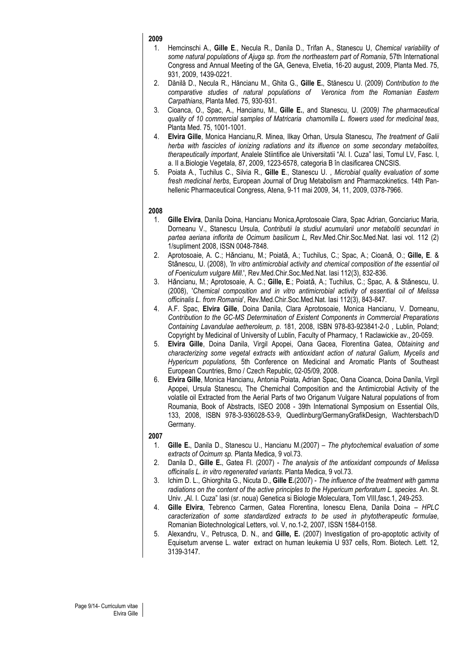- 1. Hemcinschi A., **Gille E**., Necula R., Danila D., Trifan A., Stanescu U, *Chemical variability of some natural populations of Ajuga sp. from the northeastern part of Romania*, 57th International Congress and Annual Meeting of the GA, Geneva, Elvetia, 16-20 august, 2009, Planta Med. 75, 931, 2009, 1439-0221.
- 2. Dănilă D., Necula R., Hăncianu M., Ghita G., **Gille E.**, Stănescu U. (2009) *Contribution to the comparative studies of natural populations of Veronica from the Romanian Eastern Carpathians*, Planta Med. 75, 930-931.
- 3. Cioanca, O., Spac, A., Hancianu, M., **Gille E.**, and Stanescu, U. (2009*) The pharmaceutical quality of 10 commercial samples of Matricaria chamomilla L. flowers used for medicinal teas*, Planta Med. 75, 1001-1001.
- 4. **Elvira Gille**, Monica Hancianu,R. Minea, Ilkay Orhan, Ursula Stanescu, *The treatment of Galii herba with fascicles of ionizing radiations and its ifluence on some secondary metabolites, therapeutically important*, Analele Stiintifice ale Universitatii "Al. I. Cuza" Iasi, Tomul LV, Fasc. I, a. II a.Biologie Vegetala, 87, 2009, 1223-6578, categoria B în clasificarea CNCSIS.
- 5. Poiata A., Tuchilus C., Silvia R., **Gille E**., Stanescu U. , *Microbial quality evaluation of some fresh medicinal herbs*, European Journal of Drug Metabolism and Pharmacokinetics. 14th Panhellenic Pharmaceutical Congress, Atena, 9-11 mai 2009, 34, 11, 2009, 0378-7966.

# **2008**

- 1. **Gille Elvira**, Danila Doina, Hancianu Monica,Aprotosoaie Clara, Spac Adrian, Gonciariuc Maria, Dorneanu V., Stanescu Ursula, *Contributii la studiul acumularii unor metaboliti secundari in partea aeriana inflorita de Ocimum basilicum L,* Rev.Med.Chir.Soc.Med.Nat. Iasi vol. 112 (2) 1/supliment 2008, ISSN 0048-7848.
- 2. Aprotosoaie, A. C.; Hǎncianu, M.; Poiatǎ, A.; Tuchilus, C.; Spac, A.; Cioanǎ, O.; **Gille, E**. & Stǎnescu, U. (2008), *'In vitro antimicrobial activity and chemical composition of the essential oil of Foeniculum vulgare Mill*.', Rev.Med.Chir.Soc.Med.Nat. Iasi 112(3), 832-836.
- 3. Hǎncianu, M.; Aprotosoaie, A. C.; **Gille, E**.; Poiatǎ, A.; Tuchilus, C.; Spac, A. & Stǎnescu, U. (2008), '*Chemical composition and in vitro antimicrobial activity of essential oil of Melissa officinalis L. from Romania*', Rev.Med.Chir.Soc.Med.Nat. Iasi 112(3), 843-847.
- 4. A.F. Spac, **Elvira Gille**, Doina Danila, Clara Aprotosoaie, Monica Hancianu, V. Dorneanu, *Contribution to the GC-MS Determination of Existent Components in Commercial Preparations Containing Lavandulae aetheroleum, p.* 181, 2008, ISBN 978-83-923841-2-0 , Lublin, Poland; Copyright by Medicinal of University of Lublin, Faculty of Pharmacy, 1 Raclawickie av., 20-059.
- 5. **Elvira Gille**, Doina Danila, Virgil Apopei, Oana Gacea, Florentina Gatea, *Obtaining and characterizing some vegetal extracts with antioxidant action of natural Galium, Mycelis and Hypericum populations,* 5th Conference on Medicinal and Aromatic Plants of Southeast European Countries, Brno / Czech Republic, 02-05/09, 2008.
- 6. **Elvira Gille**, Monica Hancianu, Antonia Poiata, Adrian Spac, Oana Cioanca, Doina Danila, Virgil Apopei, Ursula Stanescu, The Chemichal Composition and the Antimicrobial Activity of the volatile oil Extracted from the Aerial Parts of two Origanum Vulgare Natural populations of from Roumania, Book of Abstracts, ISEO 2008 - 39th International Symposium on Essential Oils, 133, 2008, ISBN 978-3-936028-53-9, Quedlinburg/GermanyGrafikDesign, Wachtersbach/D Germany.

- 1. **Gille E.**, Danila D., Stanescu U., Hancianu M.(2007) *The phytochemical evaluation of some extracts of Ocimum sp.* Planta Medica, 9 vol.73.
- 2. Danila D., **Gille E.**, Gatea Fl. (2007) *The analysis of the antioxidant compounds of Melissa officinalis L. in vitro regenerated variants*. Planta Medica, 9 vol.73.
- 3. Ichim D. L., Ghiorghita G., Nicuta D., **Gille E.**(2007) *The influence of the treatment with gamma radiations on the content of the active principles to the Hypericum perforatum L. species*. An. St. Univ. "Al. I. Cuza" Iasi (sr. noua) Genetica si Biologie Moleculara, Tom VIII, fasc. 1, 249-253.
- 4. **Gille Elvira**, Tebrenco Carmen, Gatea Florentina, Ionescu Elena, Danila Doina *HPLC caracterization of some standardized extracts to be used in phytotherapeutic formulae*, Romanian Biotechnological Letters, vol. V, no.1-2, 2007, ISSN 1584-0158.
- 5. Alexandru, V., Petrusca, D. N., and **Gille, E.** (2007) Investigation of pro-apoptotic activity of Equisetum arvense L. water extract on human leukemia U 937 cells, Rom. Biotech. Lett. 12, 3139-3147.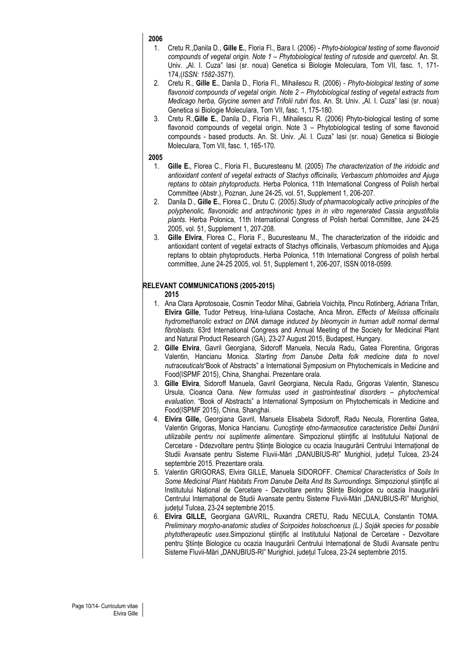- 1. Cretu R.,Danila D., **Gille E.**, Floria Fl., Bara I. (2006) *- Phyto-biological testing of some flavonoid compounds of vegetal origin. Note 1 – Phytobiological testing of rutoside and quercetol*. An. St. Univ. "Al. I. Cuza" Iasi (sr. noua) Genetica si Biologie Moleculara, Tom VII, fasc. 1, 171- 174,(*ISSN: 1582-3571*).
- 2. Cretu R., **Gille E.**, Danila D., Floria Fl., Mihailescu R. (2006) *Phyto-biological testing of some flavonoid compounds of vegetal origin. Note 2 – Phytobiological testing of vegetal extracts from Medicago herba, Glycine semen and Trifolii rubri flos*. An. St. Univ. "Al. I. Cuza" Iasi (sr. noua) Genetica si Biologie Moleculara, Tom VII, fasc. 1, 175-180.
- 3. Cretu R.,**Gille E.**, Danila D., Floria Fl., Mihailescu R. (2006) Phyto-biological testing of some flavonoid compounds of vegetal origin. Note 3 – Phytobiological testing of some flavonoid compounds - based products. An. St. Univ. "Al. I. Cuza" Iasi (sr. noua) Genetica si Biologie Moleculara, Tom VII, fasc. 1, 165-170.

# **2005**

- 1. **Gille E.**, Florea C., Floria Fl., Bucuresteanu M. (2005) *The characterization of the iridoidic and antioxidant content of vegetal extracts of Stachys officinalis, Verbascum phlomoides and Ajuga reptans to obtain phytoproducts*. Herba Polonica, 11th International Congress of Polish herbal Committee (Abstr.), Poznan, June 24-25, vol. 51, Supplement 1, 206-207.
- 2. Danila D., **Gille E.**, Florea C., Drutu C. (2005*).Study of pharmacologically active principles of the polyphenolic, flavonoidic and antrachinonic types in in vitro regenerated Cassia angustifolia plants*. Herba Polonica, 11th International Congress of Polish herbal Committee, June 24-25 2005, vol. 51, Supplement 1, 207-208.
- 3. **Gille Elvira**, Florea C., Floria F., Bucuresteanu M., The characterization of the iridoidic and antioxidant content of vegetal extracts of Stachys officinalis, Verbascum phlomoides and Ajuga reptans to obtain phytoproducts. Herba Polonica, 11th International Congress of polish herbal committee, June 24-25 2005, vol. 51, Supplement 1, 206-207, ISSN 0018-0599.

# **RELEVANT COMMUNICATIONS (2005-2015)**

- 1. Ana Clara Aprotosoaie, Cosmin Teodor Mihai, Gabriela Voichița, Pincu Rotinberg, Adriana Trifan, **Elvira Gille**, Tudor Petreuș, Irina-Iuliana Costache, Anca Miron**.** *Effects of Melissa officinalis hydromethanolic extract on DNA damage induced by bleomycin in human adult normal dermal fibroblasts.* 63rd International Congress and Annual Meeting of the Society for Medicinal Plant and Natural Product Research (GA), 23-27 August 2015, Budapest, Hungary.
- 2. **Gille Elvira**, Gavril Georgiana, Sidoroff Manuela, Necula Radu, Gatea Florentina, Grigoras Valentin, Hancianu Monica. *Starting from Danube Delta folk medicine data to novel nutraceuticals*"Book of Abstracts" a International Symposium on Phytochemicals in Medicine and Food(ISPMF 2015), China, Shanghai. Prezentare orala.
- 3. **Gille Elvira**, Sidoroff Manuela, Gavril Georgiana, Necula Radu, Grigoras Valentin, Stanescu Ursula, Cioanca Oana. *New formulas used in gastrointestinal disorders – phytochemical evaluation*. "Book of Abstracts" a International Symposium on Phytochemicals in Medicine and Food(ISPMF 2015), China, Shanghai.
- 4. **Elvira Gille,** Georgiana Gavril, Manuela Elisabeta Sidoroff, Radu Necula, Florentina Gatea, Valentin Grigoras, Monica Hancianu. *Cunoştinţe etno-farmaceutice caracteristice Deltei Dunării utilizabile pentru noi suplimente alimentare.* Simpozionul științific al Institutului Național de Cercetare - Ddezvoltare pentru Științe Biologice cu ocazia Inaugurării Centrului Internațional de Studii Avansate pentru Sisteme Fluvii-Mări "DANUBIUS-RI" Murighiol, județul Tulcea, 23-24 septembrie 2015. Prezentare orala.
- 5. Valentin GRIGORAS, Elvira GILLE, Manuela SIDOROFF. *Chemical Characteristics of Soils In Some Medicinal Plant Habitats From Danube Delta And Its Surroundings.* Simpozionul științific al Institutului Național de Cercetare - Dezvoltare pentru Științe Biologice cu ocazia Inaugurării Centrului Internațional de Studii Avansate pentru Sisteme Fluvii-Mări "DANUBIUS-RI" Murighiol, județul Tulcea, 23-24 septembrie 2015.
- 6. **Elvira GILLE***,* Georgiana GAVRIL, Ruxandra CRETU, Radu NECULA, Constantin TOMA. *Preliminary morpho-anatomic studies of Scirpoides holoschoenus (L.) Soják species for possible phytotherapeutic uses*.Simpozionul științific al Institutului Național de Cercetare - Dezvoltare pentru Științe Biologice cu ocazia Inaugurării Centrului Internațional de Studii Avansate pentru Sisteme Fluvii-Mări "DANUBIUS-RI" Murighiol, județul Tulcea, 23-24 septembrie 2015.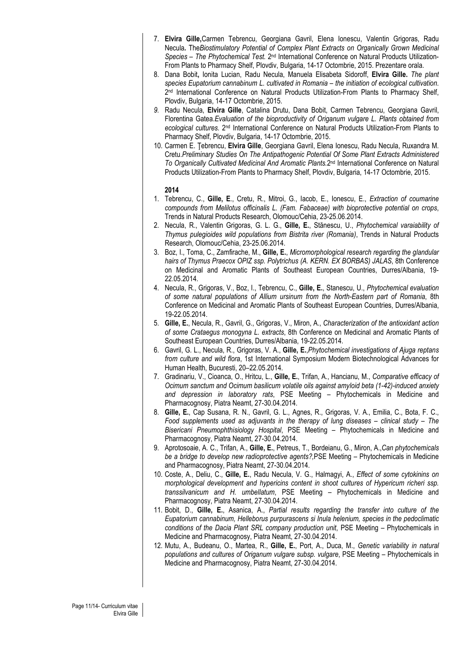- 7. **Elvira Gille,**Carmen Tebrencu, Georgiana Gavril, Elena Ionescu, Valentin Grigoras, Radu Necula*.* The*Biostimulatory Potential of Complex Plant Extracts on Organically Grown Medicinal Species – The Phytochemical Test.* 2nd International Conference on Natural Products Utilization-From Plants to Pharmacy Shelf, Plovdiv, Bulgaria, 14-17 Octombrie, 2015. Prezentare orala.
- 8. Dana Bobit**,** Ionita Lucian, Radu Necula, Manuela Elisabeta Sidoroff, **Elvira Gille.** *The plant species Eupatorium cannabinum L. cultivated in Romania – the initiation of ecological cultivation*. 2nd International Conference on Natural Products Utilization-From Plants to Pharmacy Shelf, Plovdiv, Bulgaria, 14-17 Octombrie, 2015.
- *9.* Radu Necula, **Elvira Gille**, Catalina Drutu, Dana Bobit, Carmen Tebrencu, Georgiana Gavril, Florentina Gatea.*Evaluation of the bioproductivity of Origanum vulgare L. Plants obtained from ecological cultures.* 2nd International Conference on Natural Products Utilization-From Plants to Pharmacy Shelf, Plovdiv, Bulgaria, 14-17 Octombrie, 2015.
- 10. Carmen E. Ţebrencu, **Elvira Gille**, Georgiana Gavril, Elena Ionescu, Radu Necula, Ruxandra M. Cretu.*Preliminary Studies On The Antipathogenic Potential Of Some Plant Extracts Administered To Organically Cultivated Medicinal And Aromatic Plants.*2nd International Conference on Natural Products Utilization-From Plants to Pharmacy Shelf, Plovdiv, Bulgaria, 14-17 Octombrie, 2015.

- 1. Tebrencu, C., **Gille, E**., Cretu, R., Mitroi, G., Iacob, E., Ionescu, E., *Extraction of coumarine compounds from Melilotus officinalis L. (Fam. Fabaceae) with bioprotective potential on crops*, Trends in Natural Products Research, Olomouc/Cehia, 23-25.06.2014.
- 2. Necula, R., Valentin Grigoras, G. L. G., **Gille, E.**, Stănescu, U., *Phytochemical varaiability of Thymus pulegioides wild populations from Bistrita river (Romania)*, Trends in Natural Products Research, Olomouc/Cehia, 23-25.06.2014.
- 3. Boz, I., Toma, C., Zamfirache, M., **Gille, E.**, *Micromorphological research regarding the glandular hairs of Thymus Praecox OPIZ ssp. Polytrichus (A. KERN. EX BORBAS) JALAS*, 8th Conference on Medicinal and Aromatic Plants of Southeast European Countries, Durres/Albania, 19- 22.05.2014.
- 4. Necula, R., Grigoras, V., Boz, I., Tebrencu, C., **Gille, E.**, Stanescu, U., *Phytochemical evaluation of some natural populations of Allium ursinum from the North-Eastern part of Romania*, 8th Conference on Medicinal and Aromatic Plants of Southeast European Countries, Durres/Albania, 19-22.05.2014.
- 5. **Gille, E.**, Necula, R., Gavril, G., Grigoras, V., Miron, A., *Characterization of the antioxidant action of some Crataegus monogyna L. extracts*, 8th Conference on Medicinal and Aromatic Plants of Southeast European Countries, Durres/Albania, 19-22.05.2014.
- 6. Gavril, G. L., Necula, R., Grigoras, V. A., **Gille, E.**,*Phytochemical investigations of Ajuga reptans from culture and wild flora*, 1st International Symposium Modern Biotechnological Advances for Human Health, Bucuresti, 20–22.05.2014.
- 7. Gradinariu, V., Cioanca, O., Hritcu, L., **Gille, E.**, Trifan, A., Hancianu, M., *Comparative efficacy of Ocimum sanctum and Ocimum basilicum volatile oils against amyloid beta (1-42)-induced anxiety and depression in laboratory rats*, PSE Meeting – Phytochemicals in Medicine and Pharmacognosy, Piatra Neamt, 27-30.04.2014.
- 8. **Gille, E.**, Cap Susana, R. N., Gavril, G. L., Agnes, R., Grigoras, V. A., Emilia, C., Bota, F. C., *Food supplements used as adjuvants in the therapy of lung diseases – clinical study – The Bisericani Pneumophthisiology Hospital*, PSE Meeting – Phytochemicals in Medicine and Pharmacognosy, Piatra Neamt, 27-30.04.2014.
- 9. Aprotosoaie, A. C., Trifan, A., **Gille, E.**, Petreus, T., Bordeianu, G., Miron, A.,*Can phytochemicals be a bridge to develop new radioprotective agents?,*PSE Meeting – Phytochemicals in Medicine and Pharmacognosy, Piatra Neamt, 27-30.04.2014.
- 10. Coste, A., Deliu, C., **Gille, E.**, Radu Necula, V. G., Halmagyi, A., *Effect of some cytokinins on morphological development and hypericins content in shoot cultures of Hypericum richeri ssp. transsilvanicum and H. umbellatum*, PSE Meeting – Phytochemicals in Medicine and Pharmacognosy, Piatra Neamt, 27-30.04.2014.
- 11. Bobit, D., **Gille, E.**, Asanica, A., *Partial results regarding the transfer into culture of the Eupatorium cannabinum, Helleborus purpurascens si Inula helenium, species in the pedoclimatic conditions of the Dacia Plant SRL company production unit*, PSE Meeting – Phytochemicals in Medicine and Pharmacognosy, Piatra Neamt, 27-30.04.2014.
- 12. Mutu, A., Budeanu, O., Martea, R., **Gille, E.**, Port, A., Duca, M., *Genetic variability in natural populations and cultures of Origanum vulgare subsp. vulgare*, PSE Meeting – Phytochemicals in Medicine and Pharmacognosy, Piatra Neamt, 27-30.04.2014.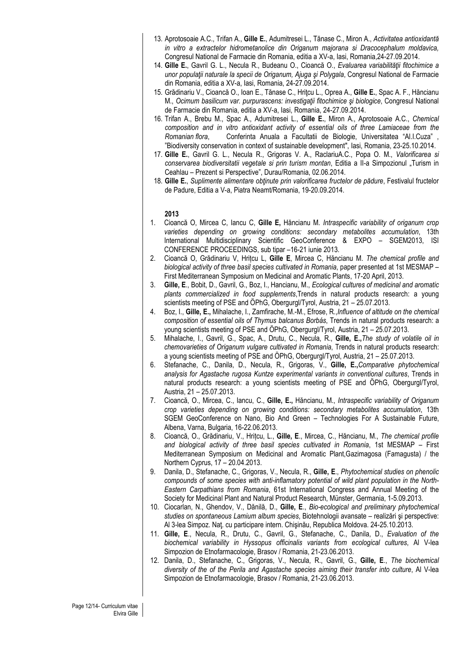- 13. Aprotosoaie A.C., Trifan A., **Gille E.**, Adumitresei L., Tănase C., Miron A., *Activitatea antioxidantă in vitro a extractelor hidrometanolice din Origanum majorana si Dracocephalum moldavica,*  Congresul National de Farmacie din Romania, editia a XV-a, Iasi, Romania,24-27.09.2014.
- 14. **Gille E.**, Gavril G. L., Necula R., Budeanu O., Cioancă O., *Evaluarea variabilităţii fitochimice a unor populaţii naturale la specii de Origanum, Ajuga şi Polygala*, Congresul National de Farmacie din Romania, editia a XV-a, Iasi, Romania, 24-27.09.2014.
- 15. Grădinariu V., Cioancă O., Ioan E., Tănase C., Hriţcu L., Oprea A., **Gille E.**, Spac A. F., Hăncianu M., *Ocimum basilicum var. purpurascens: investigatii fitochimice si biologice*, Congresul National de Farmacie din Romania, editia a XV-a, Iasi, Romania, 24-27.09.2014.
- 16. Trifan A., Brebu M., Spac A., Adumitresei L., **Gille E.**, Miron A., Aprotosoaie A.C., *Chemical composition and in vitro antioxidant activity of essential oils of three Lamiaceae from the Romanian flora*, Conferinta Anuala a Facultatii de Biologie, Universitatea "Al.I.Cuza" , "Biodiversity conservation in context of sustainable development", Iasi, Romania, 23-25.10.2014.
- 17. **Gille E.**, Gavril G. L., Necula R., Grigoras V. A., RaclariuA.C., Popa O. M., *Valorificarea si conservarea biodiversitatii vegetale si prin turism montan*, Editia a II-a Simpozionul "Turism in Ceahlau – Prezent si Perspective", Durau/Romania, 02.06.2014.
- 18. **Gille E.**, *Suplimente alimentare obţinute prin valorificarea fructelor de pădure*, Festivalul fructelor de Padure, Editia a V-a, Piatra Neamt/Romania, 19-20.09.2014.

- 1. Cioancă O, Mircea C, Iancu C, **Gille E,** Hăncianu M*. Intraspecific variability of origanum crop varieties depending on growing conditions: secondary metabolites accumulation*, 13th International Multidisciplinary Scientific GeoConference & EXPO – SGEM2013, ISI CONFERENCE PROCEEDINGS, sub tipar –16-21 iunie 2013.
- 2. Cioancă O, Grădinariu V, Hrițcu L, **Gille E**, Mircea C, Hăncianu M. *The chemical profile and biological activity of three basil species cultivated in Romania*, paper presented at 1st MESMAP – First Mediterranean Symposium on Medicinal and Aromatic Plants, 17-20 April, 2013.
- 3. **Gille, E**., Bobit, D., Gavril, G., Boz, I., Hancianu, M., *Ecological cultures of medicinal and aromatic plants commercialized in food supplements*,Trends in natural products research: a young scientists meeting of PSE and ÖPhG, Obergurgl/Tyrol, Austria, 21 – 25.07.2013.
- 4. Boz, I., **Gille, E.,** Mihalache, I., Zamfirache, M.-M., Efrose, R.,*Influence of altitude on the chemical composition of essential oils of Thymus balcanus Borbás*, Trends in natural products research: a young scientists meeting of PSE and ÖPhG, Obergurgl/Tyrol, Austria, 21 – 25.07.2013.
- 5. Mihalache, I., Gavril, G., Spac, A., Drutu, C., Necula, R., **Gille, E.,***The study of volatile oil in chemovarieties of Origanum vulgare cultivated in Romania*, Trends in natural products research: a young scientists meeting of PSE and ÖPhG, Obergurgl/Tyrol, Austria, 21 – 25.07.2013.
- 6. Stefanache, C., Danila, D., Necula, R., Grigoras, V., **Gille, E.,***Comparative phytochemical analysis for Agastache rugosa Kuntze experimental variants in conventional cultures*, Trends in natural products research: a young scientists meeting of PSE and ÖPhG, Obergurgl/Tyrol, Austria, 21 – 25.07.2013.
- 7. Cioancă, O., Mircea, C., Iancu, C., **Gille, E.,** Hăncianu, M., *Intraspecific variability of Origanum crop varieties depending on growing conditions: secondary metabolites accumulation*, 13th SGEM GeoConference on Nano, Bio And Green – Technologies For A Sustainable Future, Albena, Varna, Bulgaria, 16-22.06.2013.
- 8. Cioancă, O., Grădinariu, V., Hrițcu, L., **Gille, E**., Mircea, C., Hăncianu, M., *The chemical profile and biological activity of three basil species cultivated in Romania*, 1st MESMAP – First Mediterranean Symposium on Medicinal and Aromatic Plant,Gazimagosa (Famagusta) / the Northern Cyprus, 17 – 20.04.2013.
- 9. Danila, D., Stefanache, C., Grigoras, V., Necula, R., **Gille, E**., *Phytochemical studies on phenolic compounds of some species with anti-inflamatory potential of wild plant population in the North-Eastern Carpathians from Romania*, 61st International Congress and Annual Meeting of the Society for Medicinal Plant and Natural Product Research, Münster, Germania, 1-5.09.2013.
- 10. Ciocarlan, N., Ghendov, V., Dănilă, D., **Gille, E**., *Bio-ecological and preliminary phytochemical studies on spontaneous Lamium album species*, Biotehnologii avansate – realizări şi perspective: Al 3-lea Simpoz. Naţ. cu participare intern. Chişinău, Republica Moldova. 24-25.10.2013.
- 11. **Gille, E**., Necula, R., Drutu, C., Gavril, G., Stefanache, C., Danila, D., *Evaluation of the biochemical variability in Hyssopus officinalis variants from ecological cultures*, Al V-lea Simpozion de Etnofarmacologie, Brasov / Romania, 21-23.06.2013.
- 12. Danila, D., Stefanache, C., Grigoras, V., Necula, R., Gavril, G., **Gille, E**., *The biochemical diversity of the of the Perila and Agastache species aiming their transfer into culture*, Al V-lea Simpozion de Etnofarmacologie, Brasov / Romania, 21-23.06.2013.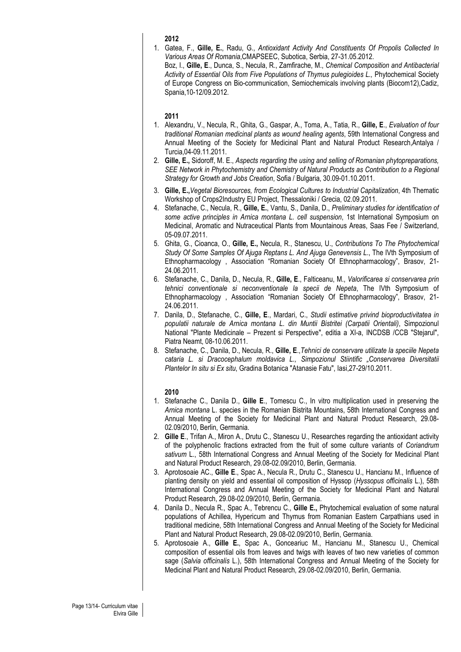1. Gatea, F., **Gille, E.**, Radu, G., *Antioxidant Activity And Constituents Of Propolis Collected In Various Areas Of Romania*,CMAPSEEC, Subotica, Serbia, 27-31.05.2012.

Boz, I., **Gille, E**., Dunca, S., Necula, R., Zamfirache, M., *Chemical Composition and Antibacterial*  Activity of Essential Oils from Five Populations of Thymus pulegioides L., Phytochemical Society of Europe Congress on Bio-communication, Semiochemicals involving plants (Biocom12),Cadiz, Spania,10-12/09.2012.

### **2011**

- 1. Alexandru, V., Necula, R., Ghita, G., Gaspar, A., Toma, A., Tatia, R., **Gille, E**., *Evaluation of four traditional Romanian medicinal plants as wound healing agents*, 59th International Congress and Annual Meeting of the Society for Medicinal Plant and Natural Product Research,Antalya / Turcia,04-09.11.2011.
- 2. **Gille, E.,** Sidoroff, M. E., *Aspects regarding the using and selling of Romanian phytopreparations, SEE Network in Phytochemistry and Chemistry of Natural Products as Contribution to a Regional Strategy for Growth and Jobs Creation*, Sofia / Bulgaria, 30.09-01.10.2011.
- 3. **Gille, E.,***Vegetal Bioresources, from Ecological Cultures to Industrial Capitalization*, 4th Thematic Workshop of Crops2Industry EU Project, Thessaloniki / Grecia, 02.09.2011.
- 4. Stefanache, C., Necula, R., **Gille, E.**, Vantu, S., Danila, D., *Preliminary studies for identification of some active principles in Arnica montana L. cell suspension*, 1st International Symposium on Medicinal, Aromatic and Nutraceutical Plants from Mountainous Areas, Saas Fee / Switzerland, 05-09.07.2011.
- 5. Ghita, G., Cioanca, O., **Gille, E.,** Necula, R., Stanescu, U., *Contributions To The Phytochemical Study Of Some Samples Of Ajuga Reptans L. And Ajuga Genevensis L*., The IVth Symposium of Ethnopharmacology , Association "Romanian Society Of Ethnopharmacology", Brasov, 21- 24.06.2011.
- 6. Stefanache, C., Danila, D., Necula, R., **Gille, E**., Falticeanu, M., *Valorificarea si conservarea prin tehnici conventionale si neconventionale la specii de Nepeta*, The IVth Symposium of Ethnopharmacology , Association "Romanian Society Of Ethnopharmacology", Brasov, 21- 24.06.2011.
- 7. Danila, D., Stefanache, C., **Gille, E**., Mardari, C., *Studii estimative privind bioproductivitatea in populatii naturale de Arnica montana L. din Muntii Bistritei (Carpatii Orientali)*, Simpozionul National "Plante Medicinale – Prezent si Perspective", editia a XI-a, INCDSB /CCB "Stejarul", Piatra Neamt, 08-10.06.2011.
- 8. Stefanache, C., Danila, D., Necula, R., **Gille, E**.,*Tehnici de conservare utilizate la speciile Nepeta cataria L. si Dracocephalum moldavica L., Simpozionul Stiintific "Conservarea Diversitatii Plantelor In situ si Ex situ*, Gradina Botanica "Atanasie Fatu", Iasi,27-29/10.2011.

- 1. Stefanache C., Danila D., **Gille E**., Tomescu C., In vitro multiplication used in preserving the *Arnica montana* L. species in the Romanian Bistrita Mountains, 58th International Congress and Annual Meeting of the Society for Medicinal Plant and Natural Product Research, 29.08- 02.09/2010, Berlin, Germania.
- 2. **Gille E**., Trifan A., Miron A., Drutu C., Stanescu U., Researches regarding the antioxidant activity of the polyphenolic fractions extracted from the fruit of some culture variants of *Coriandrum*  sativum L., 58th International Congress and Annual Meeting of the Society for Medicinal Plant and Natural Product Research, 29.08-02.09/2010, Berlin, Germania.
- 3. Aprotosoaie AC., **Gille E**., Spac A., Necula R., Drutu C., Stanescu U., Hancianu M., Influence of planting density on yield and essential oil composition of Hyssop (*Hyssopus officinalis* L.), 58th International Congress and Annual Meeting of the Society for Medicinal Plant and Natural Product Research, 29.08-02.09/2010, Berlin, Germania.
- 4. Danila D., Necula R., Spac A., Tebrencu C., **Gille E.,** Phytochemical evaluation of some natural populations of Achillea, Hypericum and Thymus from Romanian Eastern Carpathians used in traditional medicine, 58th International Congress and Annual Meeting of the Society for Medicinal Plant and Natural Product Research, 29.08-02.09/2010, Berlin, Germania.
- 5. Aprotosoaie A., **Gille E.**, Spac A., Gonceariuc M., Hancianu M., Stanescu U., Chemical composition of essential oils from leaves and twigs with leaves of two new varieties of common sage (*Salvia officinalis* L.), 58th International Congress and Annual Meeting of the Society for Medicinal Plant and Natural Product Research, 29.08-02.09/2010, Berlin, Germania.